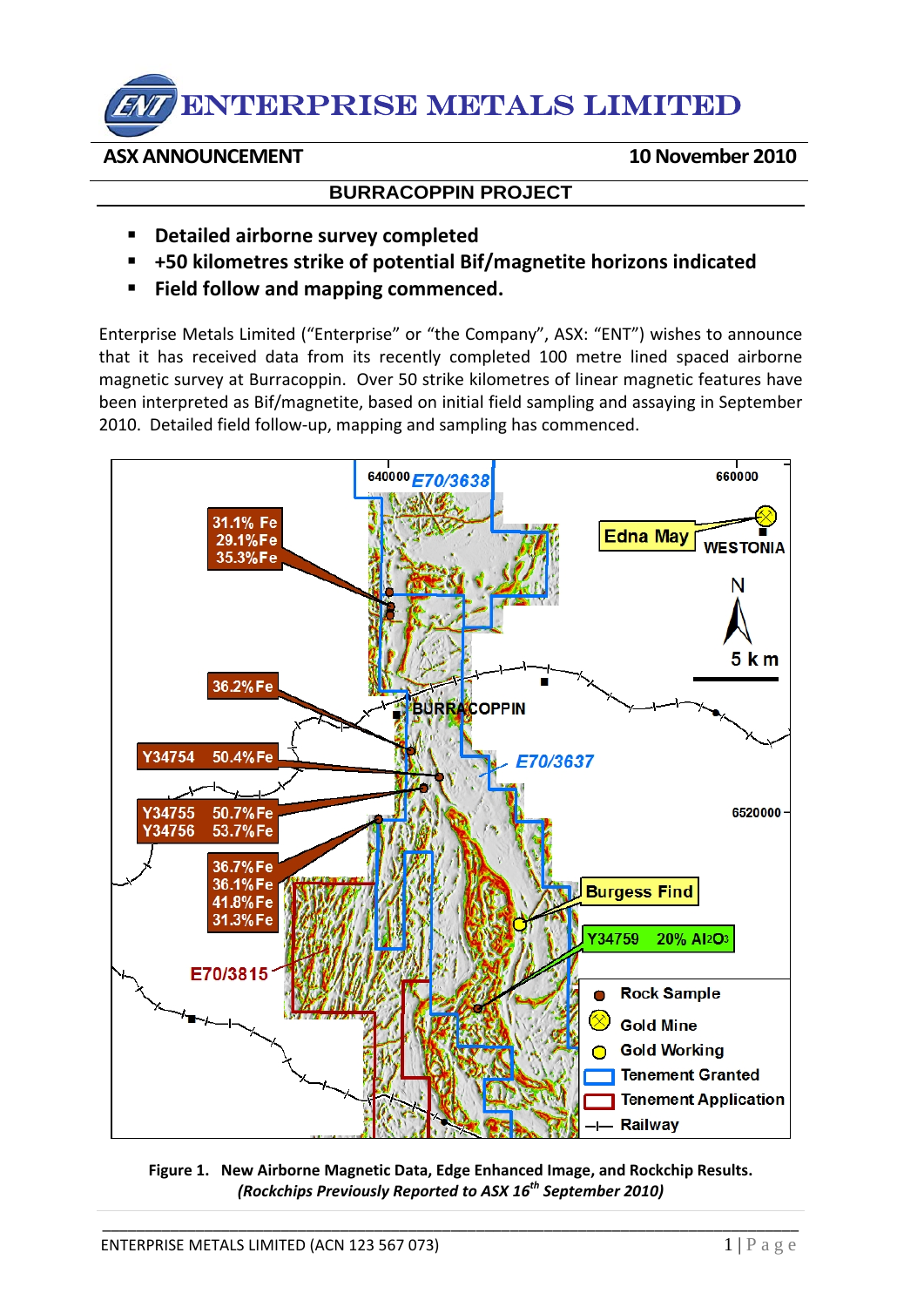## ENTERPRISE METALS LIMITED

## **ASX ANNOUNCEMENT 10November 2010**

## **BURRACOPPIN PROJECT**

- **Detailed airborne survey completed**
- **+50 kilometres strike of potential Bif/magnetite horizons indicated**
- **Field follow and mapping commenced.**

Enterprise Metals Limited ("Enterprise" or "the Company", ASX: "ENT") wishes to announce that it has received data from its recently completed 100 metre lined spaced airborne magnetic survey at Burracoppin. Over 50 strike kilometres of linear magnetic features have been interpreted as Bif/magnetite, based on initial field sampling and assaying in September 2010. Detailed field follow‐up, mapping and sampling has commenced.



**Figure 1. New Airborne Magnetic Data, Edge Enhanced Image, and Rockchip Results.** *(Rockchips Previously Reported to ASX 16th September 2010)*

\_\_\_\_\_\_\_\_\_\_\_\_\_\_\_\_\_\_\_\_\_\_\_\_\_\_\_\_\_\_\_\_\_\_\_\_\_\_\_\_\_\_\_\_\_\_\_\_\_\_\_\_\_\_\_\_\_\_\_\_\_\_\_\_\_\_\_\_\_\_\_\_\_\_\_\_\_\_\_\_\_\_